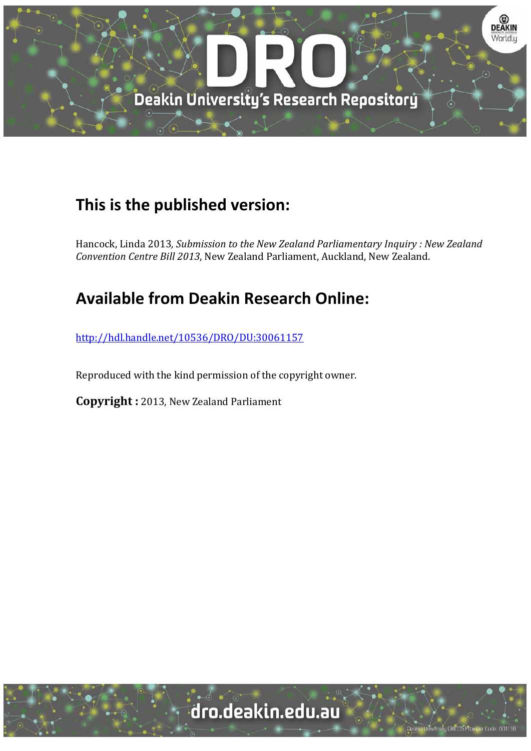

# **This is the published version:**

Hancock, Linda 2013*, Submission to the New Zealand Parliamentary Inquiry : New Zealand Convention Centre Bill 2013*, New Zealand Parliament, Auckland, New Zealand.

# **Available from Deakin Research Online:**

http://hdl.handle.net/10536/DRO/DU:30061157

Reproduced with the kind permission of the copyright owner.

**Copyright** : 2013, New Zealand Parliament

dro.deakin.edu.au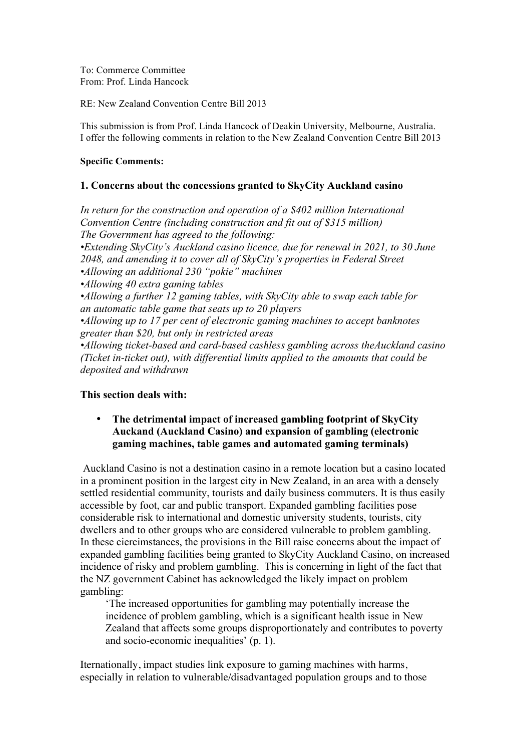To: Commerce Committee From: Prof. Linda Hancock

RE: New Zealand Convention Centre Bill 2013

This submission is from Prof. Linda Hancock of Deakin University, Melbourne, Australia. I offer the following comments in relation to the New Zealand Convention Centre Bill 2013

#### **Specific Comments:**

## **1. Concerns about the concessions granted to SkyCity Auckland casino**

*In return for the construction and operation of a \$402 million International Convention Centre (including construction and fit out of \$315 million) The Government has agreed to the following: •Extending SkyCity's Auckland casino licence, due for renewal in 2021, to 30 June 2048, and amending it to cover all of SkyCity's properties in Federal Street •Allowing an additional 230 "pokie" machines •Allowing 40 extra gaming tables •Allowing a further 12 gaming tables, with SkyCity able to swap each table for an automatic table game that seats up to 20 players •Allowing up to 17 per cent of electronic gaming machines to accept banknotes greater than \$20, but only in restricted areas •Allowing ticket-based and card-based cashless gambling across theAuckland casino (Ticket in-ticket out), with differential limits applied to the amounts that could be deposited and withdrawn*

#### **This section deals with:**

## • **The detrimental impact of increased gambling footprint of SkyCity Auckand (Auckland Casino) and expansion of gambling (electronic gaming machines, table games and automated gaming terminals)**

 Auckland Casino is not a destination casino in a remote location but a casino located in a prominent position in the largest city in New Zealand, in an area with a densely settled residential community, tourists and daily business commuters. It is thus easily accessible by foot, car and public transport. Expanded gambling facilities pose considerable risk to international and domestic university students, tourists, city dwellers and to other groups who are considered vulnerable to problem gambling. In these ciercimstances, the provisions in the Bill raise concerns about the impact of expanded gambling facilities being granted to SkyCity Auckland Casino, on increased incidence of risky and problem gambling. This is concerning in light of the fact that the NZ government Cabinet has acknowledged the likely impact on problem gambling:

'The increased opportunities for gambling may potentially increase the incidence of problem gambling, which is a significant health issue in New Zealand that affects some groups disproportionately and contributes to poverty and socio-economic inequalities' (p. 1).

Iternationally, impact studies link exposure to gaming machines with harms, especially in relation to vulnerable/disadvantaged population groups and to those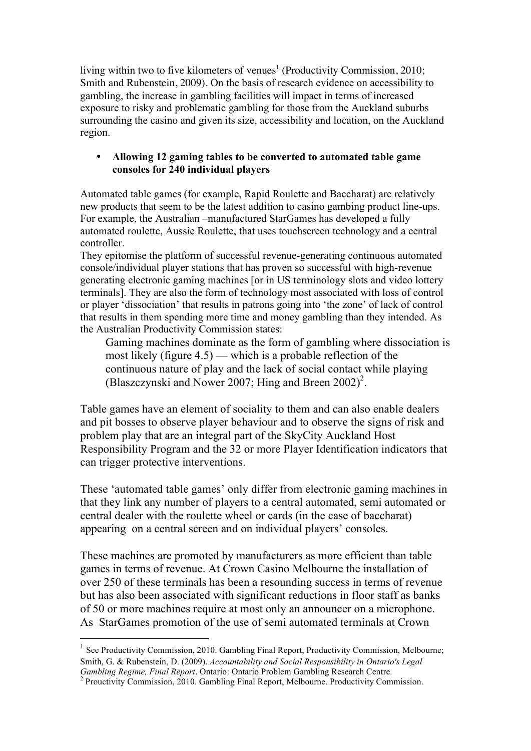living within two to five kilometers of venues<sup>1</sup> (Productivity Commission, 2010; Smith and Rubenstein, 2009). On the basis of research evidence on accessibility to gambling, the increase in gambling facilities will impact in terms of increased exposure to risky and problematic gambling for those from the Auckland suburbs surrounding the casino and given its size, accessibility and location, on the Auckland region.

# • **Allowing 12 gaming tables to be converted to automated table game consoles for 240 individual players**

Automated table games (for example, Rapid Roulette and Baccharat) are relatively new products that seem to be the latest addition to casino gambing product line-ups. For example, the Australian –manufactured StarGames has developed a fully automated roulette, Aussie Roulette, that uses touchscreen technology and a central controller.

They epitomise the platform of successful revenue-generating continuous automated console/individual player stations that has proven so successful with high-revenue generating electronic gaming machines [or in US terminology slots and video lottery terminals]. They are also the form of technology most associated with loss of control or player 'dissociation' that results in patrons going into 'the zone' of lack of control that results in them spending more time and money gambling than they intended. As the Australian Productivity Commission states:

Gaming machines dominate as the form of gambling where dissociation is most likely (figure 4.5) — which is a probable reflection of the continuous nature of play and the lack of social contact while playing (Blaszczynski and Nower 2007; Hing and Breen  $2002$ )<sup>2</sup>.

Table games have an element of sociality to them and can also enable dealers and pit bosses to observe player behaviour and to observe the signs of risk and problem play that are an integral part of the SkyCity Auckland Host Responsibility Program and the 32 or more Player Identification indicators that can trigger protective interventions.

These 'automated table games' only differ from electronic gaming machines in that they link any number of players to a central automated, semi automated or central dealer with the roulette wheel or cards (in the case of baccharat) appearing on a central screen and on individual players' consoles.

These machines are promoted by manufacturers as more efficient than table games in terms of revenue. At Crown Casino Melbourne the installation of over 250 of these terminals has been a resounding success in terms of revenue but has also been associated with significant reductions in floor staff as banks of 50 or more machines require at most only an announcer on a microphone. As StarGames promotion of the use of semi automated terminals at Crown

<sup>&</sup>lt;sup>1</sup> See Productivity Commission, 2010. Gambling Final Report, Productivity Commission, Melbourne; Smith, G. & Rubenstein, D. (2009). *Accountability and Social Responsibility in Ontario's Legal Gambling Regime, Final Report*. Ontario: Ontario Problem Gambling Research Centre. <sup>2</sup>

 $2$  Prouctivity Commission, 2010. Gambling Final Report, Melbourne. Productivity Commission.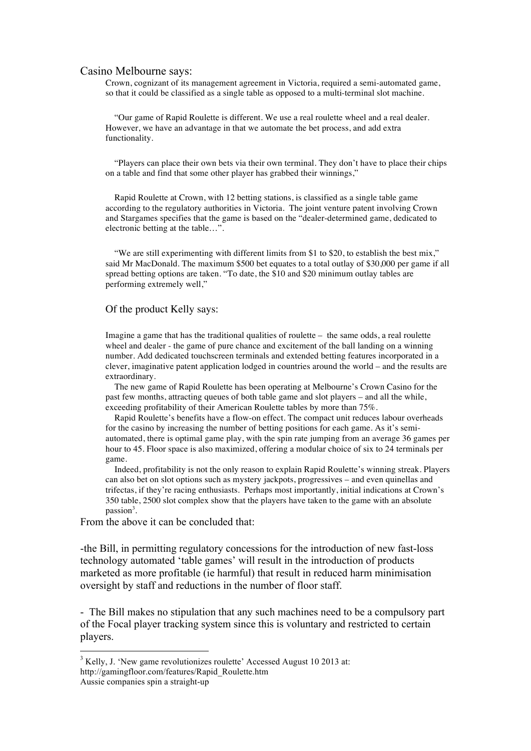#### Casino Melbourne says:

Crown, cognizant of its management agreement in Victoria, required a semi-automated game, so that it could be classified as a single table as opposed to a multi-terminal slot machine.

 "Our game of Rapid Roulette is different. We use a real roulette wheel and a real dealer. However, we have an advantage in that we automate the bet process, and add extra functionality.

 "Players can place their own bets via their own terminal. They don't have to place their chips on a table and find that some other player has grabbed their winnings,"

 Rapid Roulette at Crown, with 12 betting stations, is classified as a single table game according to the regulatory authorities in Victoria. The joint venture patent involving Crown and Stargames specifies that the game is based on the "dealer-determined game, dedicated to electronic betting at the table…".

 "We are still experimenting with different limits from \$1 to \$20, to establish the best mix," said Mr MacDonald. The maximum \$500 bet equates to a total outlay of \$30,000 per game if all spread betting options are taken. "To date, the \$10 and \$20 minimum outlay tables are performing extremely well,"

#### Of the product Kelly says:

Imagine a game that has the traditional qualities of roulette  $-$  the same odds, a real roulette wheel and dealer - the game of pure chance and excitement of the ball landing on a winning number. Add dedicated touchscreen terminals and extended betting features incorporated in a clever, imaginative patent application lodged in countries around the world – and the results are extraordinary.

 The new game of Rapid Roulette has been operating at Melbourne's Crown Casino for the past few months, attracting queues of both table game and slot players – and all the while, exceeding profitability of their American Roulette tables by more than 75%.

 Rapid Roulette's benefits have a flow-on effect. The compact unit reduces labour overheads for the casino by increasing the number of betting positions for each game. As it's semiautomated, there is optimal game play, with the spin rate jumping from an average 36 games per hour to 45. Floor space is also maximized, offering a modular choice of six to 24 terminals per game.

 Indeed, profitability is not the only reason to explain Rapid Roulette's winning streak. Players can also bet on slot options such as mystery jackpots, progressives – and even quinellas and trifectas, if they're racing enthusiasts. Perhaps most importantly, initial indications at Crown's 350 table, 2500 slot complex show that the players have taken to the game with an absolute passion<sup>3</sup>.

From the above it can be concluded that:

-the Bill, in permitting regulatory concessions for the introduction of new fast-loss technology automated 'table games' will result in the introduction of products marketed as more profitable (ie harmful) that result in reduced harm minimisation oversight by staff and reductions in the number of floor staff.

- The Bill makes no stipulation that any such machines need to be a compulsory part of the Focal player tracking system since this is voluntary and restricted to certain players.

 $\frac{1}{3}$  $3$  Kelly, J. 'New game revolutionizes roulette' Accessed August 10 2013 at: http://gamingfloor.com/features/Rapid\_Roulette.htm

Aussie companies spin a straight-up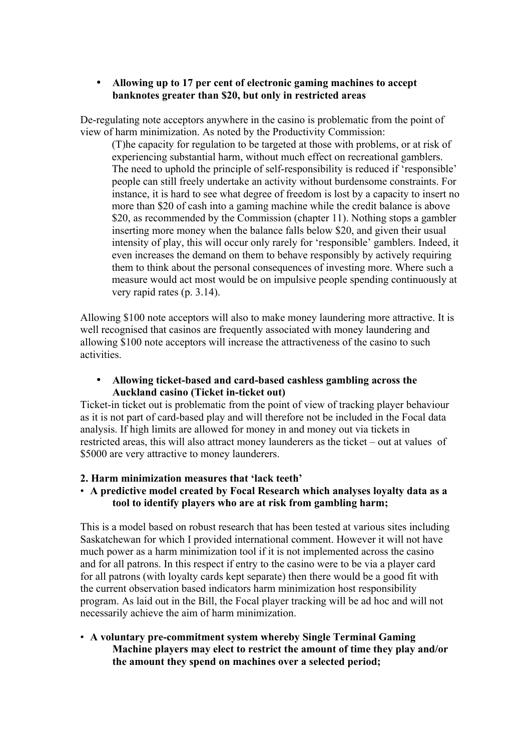## • **Allowing up to 17 per cent of electronic gaming machines to accept banknotes greater than \$20, but only in restricted areas**

De-regulating note acceptors anywhere in the casino is problematic from the point of view of harm minimization. As noted by the Productivity Commission:

(T)he capacity for regulation to be targeted at those with problems, or at risk of experiencing substantial harm, without much effect on recreational gamblers. The need to uphold the principle of self-responsibility is reduced if 'responsible' people can still freely undertake an activity without burdensome constraints. For instance, it is hard to see what degree of freedom is lost by a capacity to insert no more than \$20 of cash into a gaming machine while the credit balance is above \$20, as recommended by the Commission (chapter 11). Nothing stops a gambler inserting more money when the balance falls below \$20, and given their usual intensity of play, this will occur only rarely for 'responsible' gamblers. Indeed, it even increases the demand on them to behave responsibly by actively requiring them to think about the personal consequences of investing more. Where such a measure would act most would be on impulsive people spending continuously at very rapid rates (p. 3.14).

Allowing \$100 note acceptors will also to make money laundering more attractive. It is well recognised that casinos are frequently associated with money laundering and allowing \$100 note acceptors will increase the attractiveness of the casino to such activities.

## • **Allowing ticket-based and card-based cashless gambling across the Auckland casino (Ticket in-ticket out)**

Ticket-in ticket out is problematic from the point of view of tracking player behaviour as it is not part of card-based play and will therefore not be included in the Focal data analysis. If high limits are allowed for money in and money out via tickets in restricted areas, this will also attract money launderers as the ticket – out at values of \$5000 are very attractive to money launderers.

#### **2. Harm minimization measures that 'lack teeth'**

## • **A predictive model created by Focal Research which analyses loyalty data as a tool to identify players who are at risk from gambling harm;**

This is a model based on robust research that has been tested at various sites including Saskatchewan for which I provided international comment. However it will not have much power as a harm minimization tool if it is not implemented across the casino and for all patrons. In this respect if entry to the casino were to be via a player card for all patrons (with loyalty cards kept separate) then there would be a good fit with the current observation based indicators harm minimization host responsibility program. As laid out in the Bill, the Focal player tracking will be ad hoc and will not necessarily achieve the aim of harm minimization.

# • **A voluntary pre-commitment system whereby Single Terminal Gaming Machine players may elect to restrict the amount of time they play and/or the amount they spend on machines over a selected period;**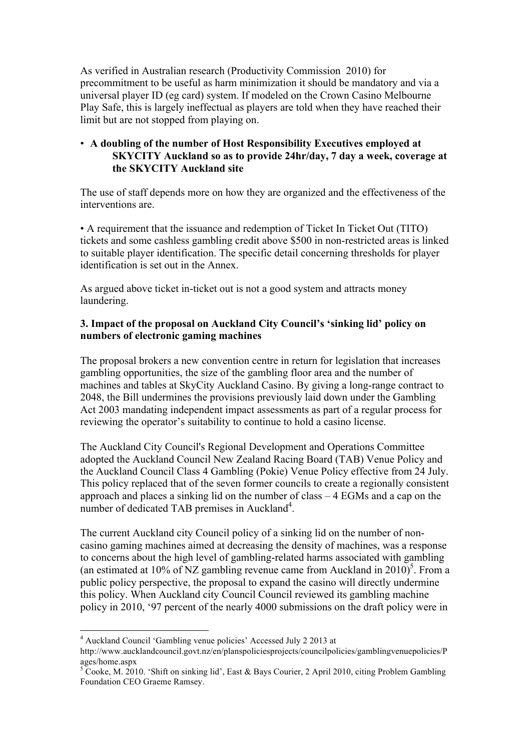As verified in Australian research (Productivity Commission 2010) for precommitment to be useful as harm minimization it should be mandatory and via a universal player ID (eg card) system. If modeled on the Crown Casino Melbourne Play Safe, this is largely ineffectual as players are told when they have reached their limit but are not stopped from playing on.

## • **A doubling of the number of Host Responsibility Executives employed at SKYCITY Auckland so as to provide 24hr/day, 7 day a week, coverage at the SKYCITY Auckland site**

The use of staff depends more on how they are organized and the effectiveness of the interventions are.

• A requirement that the issuance and redemption of Ticket In Ticket Out (TITO) tickets and some cashless gambling credit above \$500 in non-restricted areas is linked to suitable player identification. The specific detail concerning thresholds for player identification is set out in the Annex.

As argued above ticket in-ticket out is not a good system and attracts money laundering.

# **3. Impact of the proposal on Auckland City Council's 'sinking lid' policy on numbers of electronic gaming machines**

The proposal brokers a new convention centre in return for legislation that increases gambling opportunities, the size of the gambling floor area and the number of machines and tables at SkyCity Auckland Casino. By giving a long-range contract to 2048, the Bill undermines the provisions previously laid down under the Gambling Act 2003 mandating independent impact assessments as part of a regular process for reviewing the operator's suitability to continue to hold a casino license.

The Auckland City Council's Regional Development and Operations Committee adopted the Auckland Council New Zealand Racing Board (TAB) Venue Policy and the Auckland Council Class 4 Gambling (Pokie) Venue Policy effective from 24 July. This policy replaced that of the seven former councils to create a regionally consistent approach and places a sinking lid on the number of class – 4 EGMs and a cap on the number of dedicated TAB premises in Auckland<sup>4</sup>.

The current Auckland city Council policy of a sinking lid on the number of noncasino gaming machines aimed at decreasing the density of machines, was a response to concerns about the high level of gambling-related harms associated with gambling (an estimated at 10% of NZ gambling revenue came from Auckland in  $2010$ )<sup>5</sup>. From a public policy perspective, the proposal to expand the casino will directly undermine this policy. When Auckland city Council Council reviewed its gambling machine policy in 2010, '97 percent of the nearly 4000 submissions on the draft policy were in

<sup>4</sup> Auckland Council 'Gambling venue policies' Accessed July 2 2013 at

http://www.aucklandcouncil.govt.nz/en/planspoliciesprojects/councilpolicies/gamblingvenuepolicies/P ages/home.aspx

 $5^{\circ}$  Cooke, M. 2010. 'Shift on sinking lid', East & Bays Courier, 2 April 2010, citing Problem Gambling Foundation CEO Graeme Ramsey.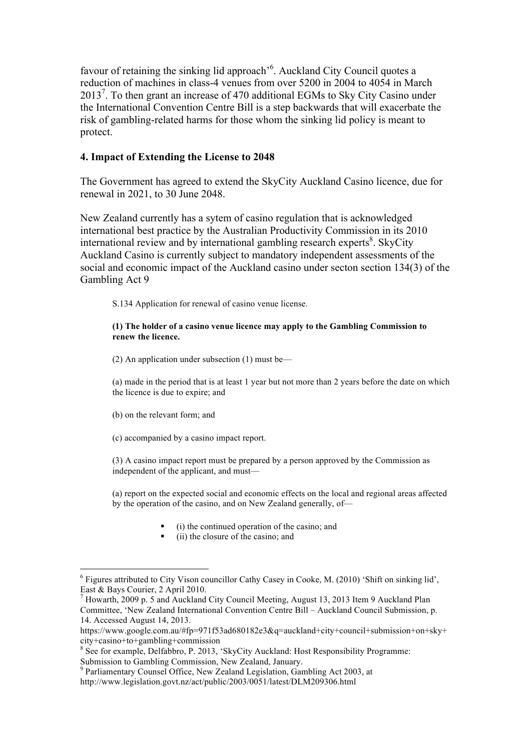favour of retaining the sinking lid approach<sup>-6</sup>. Auckland City Council quotes a reduction of machines in class-4 venues from over 5200 in 2004 to 4054 in March 2013<sup>7</sup>. To then grant an increase of 470 additional EGMs to Sky City Casino under the International Convention Centre Bill is a step backwards that will exacerbate the risk of gambling-related harms for those whom the sinking lid policy is meant to protect.

## **4. Impact of Extending the License to 2048**

The Government has agreed to extend the SkyCity Auckland Casino licence, due for renewal in 2021, to 30 June 2048.

New Zealand currently has a sytem of casino regulation that is acknowledged international best practice by the Australian Productivity Commission in its 2010 international review and by international gambling research experts<sup>8</sup>. SkyCity Auckland Casino is currently subject to mandatory independent assessments of the social and economic impact of the Auckland casino under secton section 134(3) of the Gambling Act 9

S.134 Application for renewal of casino venue license.

#### **(1) The holder of a casino venue licence may apply to the Gambling Commission to renew the licence.**

(2) An application under subsection (1) must be—

(a) made in the period that is at least 1 year but not more than 2 years before the date on which the licence is due to expire; and

(b) on the relevant form; and

(c) accompanied by a casino impact report.

(3) A casino impact report must be prepared by a person approved by the Commission as independent of the applicant, and must—

(a) report on the expected social and economic effects on the local and regional areas affected by the operation of the casino, and on New Zealand generally, of—

- (i) the continued operation of the casino; and
- (ii) the closure of the casino; and

<sup>6</sup> Figures attributed to City Vison councillor Cathy Casey in Cooke, M. (2010) 'Shift on sinking lid', East & Bays Courier, 2 April 2010.

 $<sup>7</sup>$  Howarth, 2009 p. 5 and Auckland City Council Meeting, August 13, 2013 Item 9 Auckland Plan</sup> Committee, 'New Zealand International Convention Centre Bill – Auckland Council Submission, p. 14. Accessed August 14, 2013.

https://www.google.com.au/#fp=971f53ad680182e3&q=auckland+city+council+submission+on+sky+ city+casino+to+gambling+commission

<sup>&</sup>lt;sup>8</sup> See for example, Delfabbro, P. 2013, 'SkyCity Auckland: Host Responsibility Programme: Submission to Gambling Commission, New Zealand, January.

<sup>9</sup> Parliamentary Counsel Office, New Zealand Legislation, Gambling Act 2003, at http://www.legislation.govt.nz/act/public/2003/0051/latest/DLM209306.html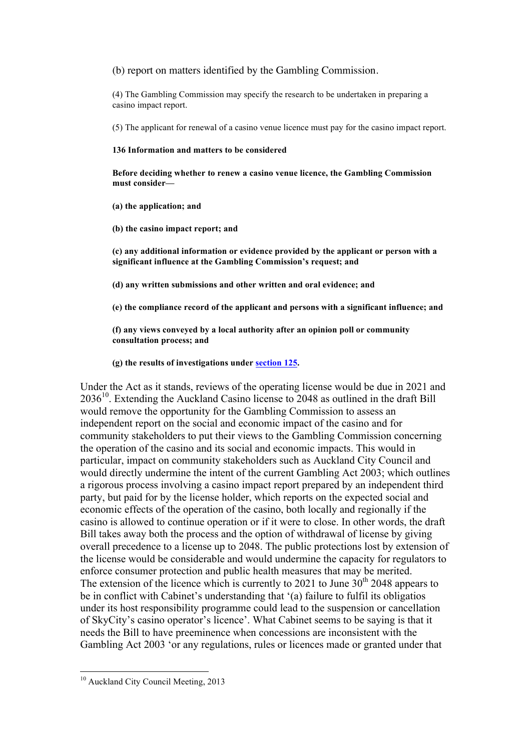(b) report on matters identified by the Gambling Commission.

(4) The Gambling Commission may specify the research to be undertaken in preparing a casino impact report.

(5) The applicant for renewal of a casino venue licence must pay for the casino impact report.

#### **136 Information and matters to be considered**

**Before deciding whether to renew a casino venue licence, the Gambling Commission must consider—**

**(a) the application; and**

**(b) the casino impact report; and**

**(c) any additional information or evidence provided by the applicant or person with a significant influence at the Gambling Commission's request; and**

**(d) any written submissions and other written and oral evidence; and**

**(e) the compliance record of the applicant and persons with a significant influence; and**

**(f) any views conveyed by a local authority after an opinion poll or community consultation process; and**

**(g) the results of investigations under section 125.**

Under the Act as it stands, reviews of the operating license would be due in 2021 and 203610. Extending the Auckland Casino license to 2048 as outlined in the draft Bill would remove the opportunity for the Gambling Commission to assess an independent report on the social and economic impact of the casino and for community stakeholders to put their views to the Gambling Commission concerning the operation of the casino and its social and economic impacts. This would in particular, impact on community stakeholders such as Auckland City Council and would directly undermine the intent of the current Gambling Act 2003; which outlines a rigorous process involving a casino impact report prepared by an independent third party, but paid for by the license holder, which reports on the expected social and economic effects of the operation of the casino, both locally and regionally if the casino is allowed to continue operation or if it were to close. In other words, the draft Bill takes away both the process and the option of withdrawal of license by giving overall precedence to a license up to 2048. The public protections lost by extension of the license would be considerable and would undermine the capacity for regulators to enforce consumer protection and public health measures that may be merited. The extension of the licence which is currently to 2021 to June  $30<sup>th</sup>$  2048 appears to be in conflict with Cabinet's understanding that '(a) failure to fulfil its obligatios under its host responsibility programme could lead to the suspension or cancellation of SkyCity's casino operator's licence'. What Cabinet seems to be saying is that it needs the Bill to have preeminence when concessions are inconsistent with the Gambling Act 2003 'or any regulations, rules or licences made or granted under that

<sup>&</sup>lt;sup>10</sup> Auckland City Council Meeting, 2013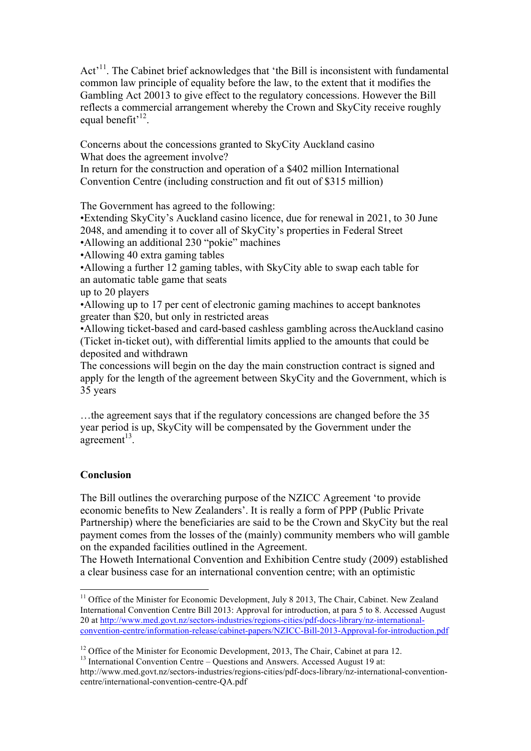Act<sup>11</sup>. The Cabinet brief acknowledges that 'the Bill is inconsistent with fundamental common law principle of equality before the law, to the extent that it modifies the Gambling Act 20013 to give effect to the regulatory concessions. However the Bill reflects a commercial arrangement whereby the Crown and SkyCity receive roughly equal benefit $^{12}$ .

Concerns about the concessions granted to SkyCity Auckland casino What does the agreement involve?

In return for the construction and operation of a \$402 million International Convention Centre (including construction and fit out of \$315 million)

The Government has agreed to the following:

•Extending SkyCity's Auckland casino licence, due for renewal in 2021, to 30 June 2048, and amending it to cover all of SkyCity's properties in Federal Street •Allowing an additional 230 "pokie" machines

•Allowing 40 extra gaming tables

•Allowing a further 12 gaming tables, with SkyCity able to swap each table for an automatic table game that seats

up to 20 players

•Allowing up to 17 per cent of electronic gaming machines to accept banknotes greater than \$20, but only in restricted areas

•Allowing ticket-based and card-based cashless gambling across theAuckland casino (Ticket in-ticket out), with differential limits applied to the amounts that could be deposited and withdrawn

The concessions will begin on the day the main construction contract is signed and apply for the length of the agreement between SkyCity and the Government, which is 35 years

…the agreement says that if the regulatory concessions are changed before the 35 year period is up, SkyCity will be compensated by the Government under the agreement $13$ .

# **Conclusion**

The Bill outlines the overarching purpose of the NZICC Agreement 'to provide economic benefits to New Zealanders'. It is really a form of PPP (Public Private Partnership) where the beneficiaries are said to be the Crown and SkyCity but the real payment comes from the losses of the (mainly) community members who will gamble on the expanded facilities outlined in the Agreement.

The Howeth International Convention and Exhibition Centre study (2009) established a clear business case for an international convention centre; with an optimistic

 $11$  Office of the Minister for Economic Development, July 8 2013, The Chair, Cabinet. New Zealand International Convention Centre Bill 2013: Approval for introduction, at para 5 to 8. Accessed August 20 at http://www.med.govt.nz/sectors-industries/regions-cities/pdf-docs-library/nz-internationalconvention-centre/information-release/cabinet-papers/NZICC-Bill-2013-Approval-for-introduction.pdf

<sup>&</sup>lt;sup>12</sup> Office of the Minister for Economic Development, 2013, The Chair, Cabinet at para 12.<br><sup>13</sup> International Convention Centre – Questions and Answers. Accessed August 19 at:

http://www.med.govt.nz/sectors-industries/regions-cities/pdf-docs-library/nz-international-conventioncentre/international-convention-centre-QA.pdf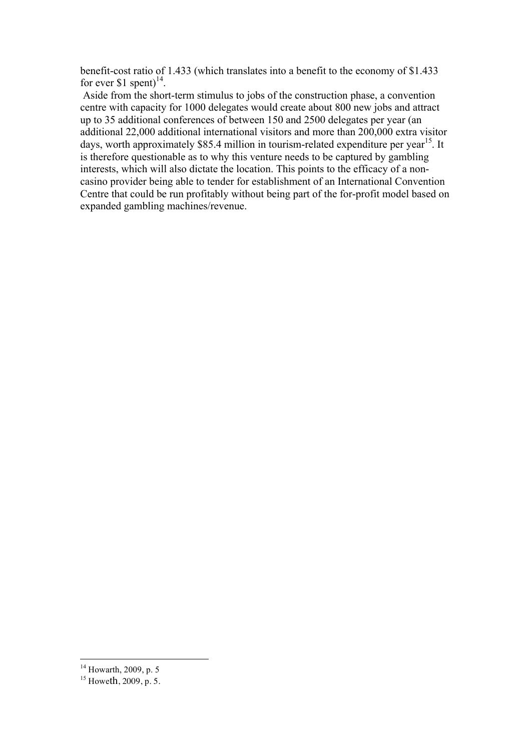benefit-cost ratio of 1.433 (which translates into a benefit to the economy of \$1.433 for ever \$1 spent) $^{14}$ .

 Aside from the short-term stimulus to jobs of the construction phase, a convention centre with capacity for 1000 delegates would create about 800 new jobs and attract up to 35 additional conferences of between 150 and 2500 delegates per year (an additional 22,000 additional international visitors and more than 200,000 extra visitor days, worth approximately \$85.4 million in tourism-related expenditure per year<sup>15</sup>. It is therefore questionable as to why this venture needs to be captured by gambling interests, which will also dictate the location. This points to the efficacy of a noncasino provider being able to tender for establishment of an International Convention Centre that could be run profitably without being part of the for-profit model based on expanded gambling machines/revenue.

<sup>&</sup>lt;sup>14</sup> Howarth, 2009, p. 5

 $^{15}$  Howeth, 2009, p. 5.